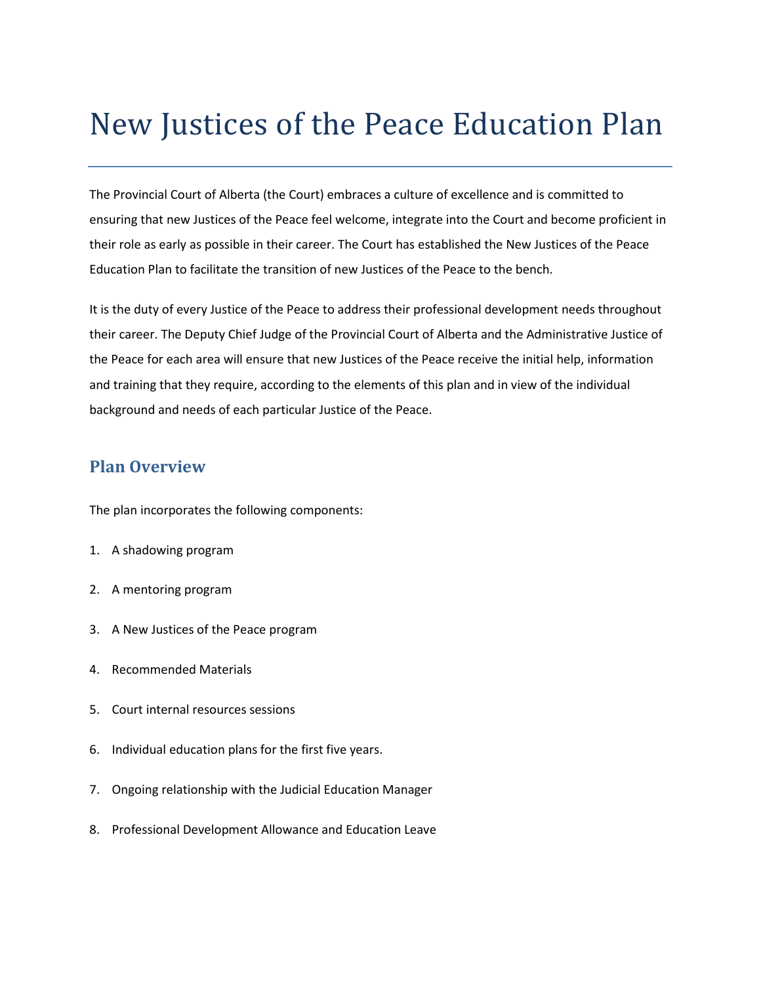# New Justices of the Peace Education Plan

The Provincial Court of Alberta (the Court) embraces a culture of excellence and is committed to ensuring that new Justices of the Peace feel welcome, integrate into the Court and become proficient in their role as early as possible in their career. The Court has established the New Justices of the Peace Education Plan to facilitate the transition of new Justices of the Peace to the bench.

It is the duty of every Justice of the Peace to address their professional development needs throughout their career. The Deputy Chief Judge of the Provincial Court of Alberta and the Administrative Justice of the Peace for each area will ensure that new Justices of the Peace receive the initial help, information and training that they require, according to the elements of this plan and in view of the individual background and needs of each particular Justice of the Peace.

#### **Plan Overview**

The plan incorporates the following components:

- 1. A shadowing program
- 2. A mentoring program
- 3. A New Justices of the Peace program
- 4. Recommended Materials
- 5. Court internal resources sessions
- 6. Individual education plans for the first five years.
- 7. Ongoing relationship with the Judicial Education Manager
- 8. Professional Development Allowance and Education Leave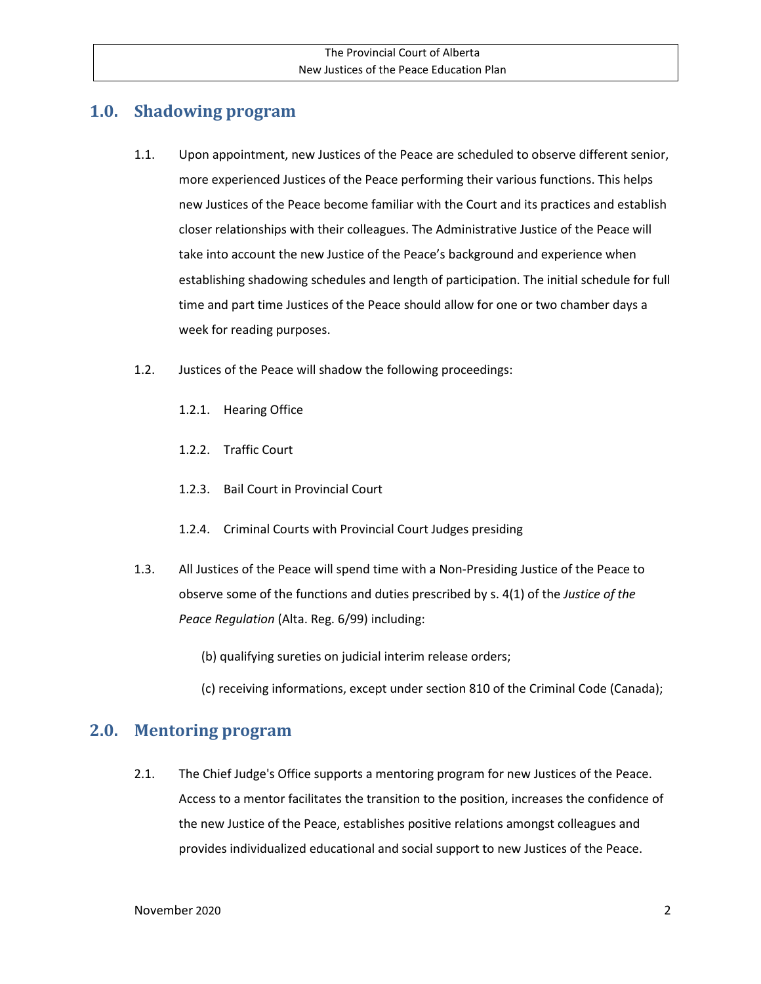# **1.0. Shadowing program**

- 1.1. Upon appointment, new Justices of the Peace are scheduled to observe different senior, more experienced Justices of the Peace performing their various functions. This helps new Justices of the Peace become familiar with the Court and its practices and establish closer relationships with their colleagues. The Administrative Justice of the Peace will take into account the new Justice of the Peace's background and experience when establishing shadowing schedules and length of participation. The initial schedule for full time and part time Justices of the Peace should allow for one or two chamber days a week for reading purposes.
- 1.2. Justices of the Peace will shadow the following proceedings:
	- 1.2.1. Hearing Office
	- 1.2.2. Traffic Court
	- 1.2.3. Bail Court in Provincial Court
	- 1.2.4. Criminal Courts with Provincial Court Judges presiding
- 1.3. All Justices of the Peace will spend time with a Non-Presiding Justice of the Peace to observe some of the functions and duties prescribed by s. 4(1) of the *Justice of the Peace Regulation* (Alta. Reg. 6/99) including:
	- (b) qualifying sureties on judicial interim release orders;
	- (c) receiving informations, except under section 810 of the Criminal Code (Canada);

#### **2.0. Mentoring program**

2.1. The Chief Judge's Office supports a mentoring program for new Justices of the Peace. Access to a mentor facilitates the transition to the position, increases the confidence of the new Justice of the Peace, establishes positive relations amongst colleagues and provides individualized educational and social support to new Justices of the Peace.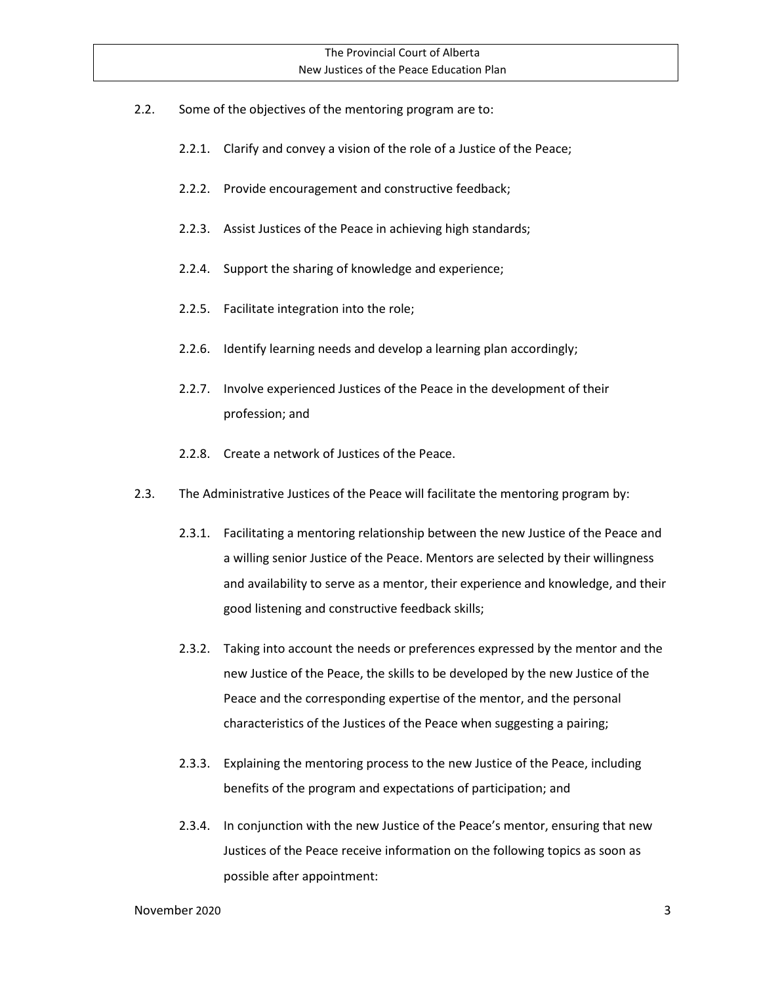- 2.2. Some of the objectives of the mentoring program are to:
	- 2.2.1. Clarify and convey a vision of the role of a Justice of the Peace;
	- 2.2.2. Provide encouragement and constructive feedback;
	- 2.2.3. Assist Justices of the Peace in achieving high standards;
	- 2.2.4. Support the sharing of knowledge and experience;
	- 2.2.5. Facilitate integration into the role;
	- 2.2.6. Identify learning needs and develop a learning plan accordingly;
	- 2.2.7. Involve experienced Justices of the Peace in the development of their profession; and
	- 2.2.8. Create a network of Justices of the Peace.
- 2.3. The Administrative Justices of the Peace will facilitate the mentoring program by:
	- 2.3.1. Facilitating a mentoring relationship between the new Justice of the Peace and a willing senior Justice of the Peace. Mentors are selected by their willingness and availability to serve as a mentor, their experience and knowledge, and their good listening and constructive feedback skills;
	- 2.3.2. Taking into account the needs or preferences expressed by the mentor and the new Justice of the Peace, the skills to be developed by the new Justice of the Peace and the corresponding expertise of the mentor, and the personal characteristics of the Justices of the Peace when suggesting a pairing;
	- 2.3.3. Explaining the mentoring process to the new Justice of the Peace, including benefits of the program and expectations of participation; and
	- 2.3.4. In conjunction with the new Justice of the Peace's mentor, ensuring that new Justices of the Peace receive information on the following topics as soon as possible after appointment: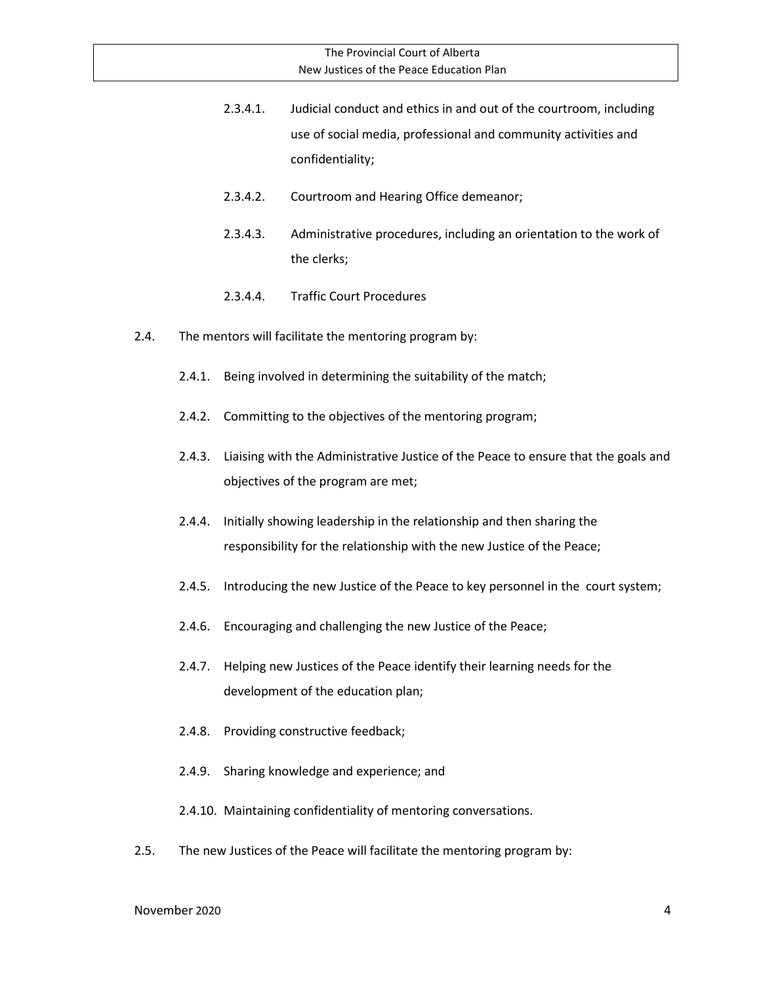- 2.3.4.1. Judicial conduct and ethics in and out of the courtroom, including use of social media, professional and community activities and confidentiality;
- 2.3.4.2. Courtroom and Hearing Office demeanor;
- 2.3.4.3. Administrative procedures, including an orientation to the work of the clerks;
- 2.3.4.4. Traffic Court Procedures
- 2.4. The mentors will facilitate the mentoring program by:
	- 2.4.1. Being involved in determining the suitability of the match;
	- 2.4.2. Committing to the objectives of the mentoring program;
	- 2.4.3. Liaising with the Administrative Justice of the Peace to ensure that the goals and objectives of the program are met;
	- 2.4.4. Initially showing leadership in the relationship and then sharing the responsibility for the relationship with the new Justice of the Peace;
	- 2.4.5. Introducing the new Justice of the Peace to key personnel in the court system;
	- 2.4.6. Encouraging and challenging the new Justice of the Peace;
	- 2.4.7. Helping new Justices of the Peace identify their learning needs for the development of the education plan;
	- 2.4.8. Providing constructive feedback;
	- 2.4.9. Sharing knowledge and experience; and
	- 2.4.10. Maintaining confidentiality of mentoring conversations.
- 2.5. The new Justices of the Peace will facilitate the mentoring program by: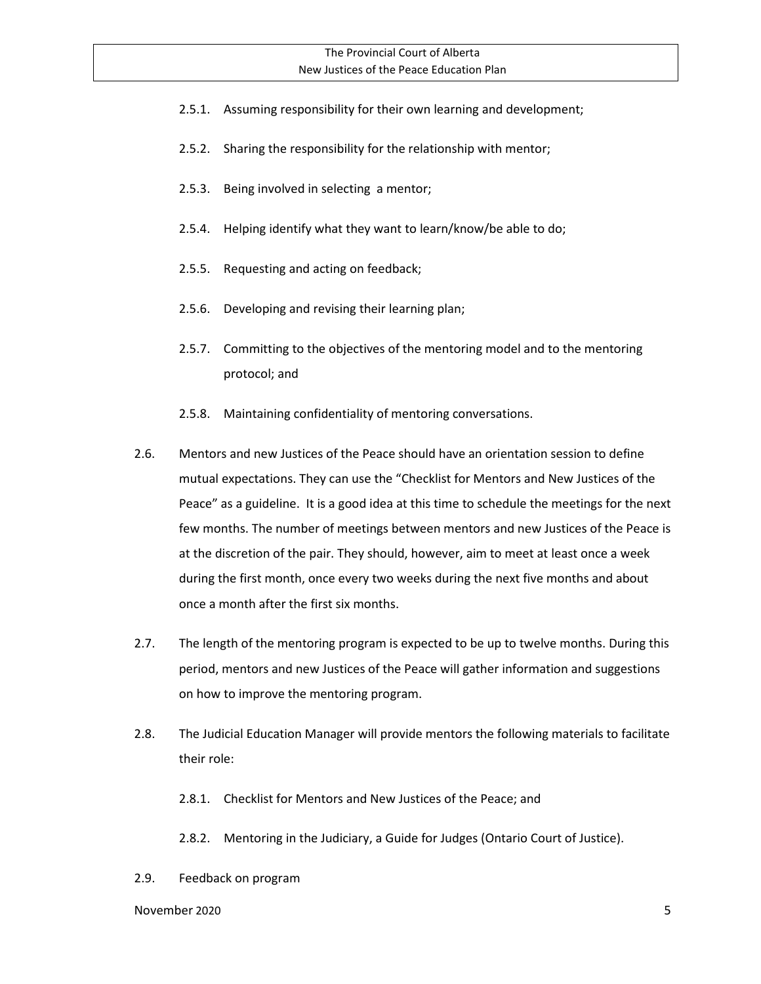- 2.5.1. Assuming responsibility for their own learning and development;
- 2.5.2. Sharing the responsibility for the relationship with mentor;
- 2.5.3. Being involved in selecting a mentor;
- 2.5.4. Helping identify what they want to learn/know/be able to do;
- 2.5.5. Requesting and acting on feedback;
- 2.5.6. Developing and revising their learning plan;
- 2.5.7. Committing to the objectives of the mentoring model and to the mentoring protocol; and
- 2.5.8. Maintaining confidentiality of mentoring conversations.
- 2.6. Mentors and new Justices of the Peace should have an orientation session to define mutual expectations. They can use the "Checklist for Mentors and New Justices of the Peace" as a guideline. It is a good idea at this time to schedule the meetings for the next few months. The number of meetings between mentors and new Justices of the Peace is at the discretion of the pair. They should, however, aim to meet at least once a week during the first month, once every two weeks during the next five months and about once a month after the first six months.
- 2.7. The length of the mentoring program is expected to be up to twelve months. During this period, mentors and new Justices of the Peace will gather information and suggestions on how to improve the mentoring program.
- 2.8. The Judicial Education Manager will provide mentors the following materials to facilitate their role:
	- 2.8.1. Checklist for Mentors and New Justices of the Peace; and
	- 2.8.2. Mentoring in the Judiciary, a Guide for Judges (Ontario Court of Justice).
- 2.9. Feedback on program

November 2020 5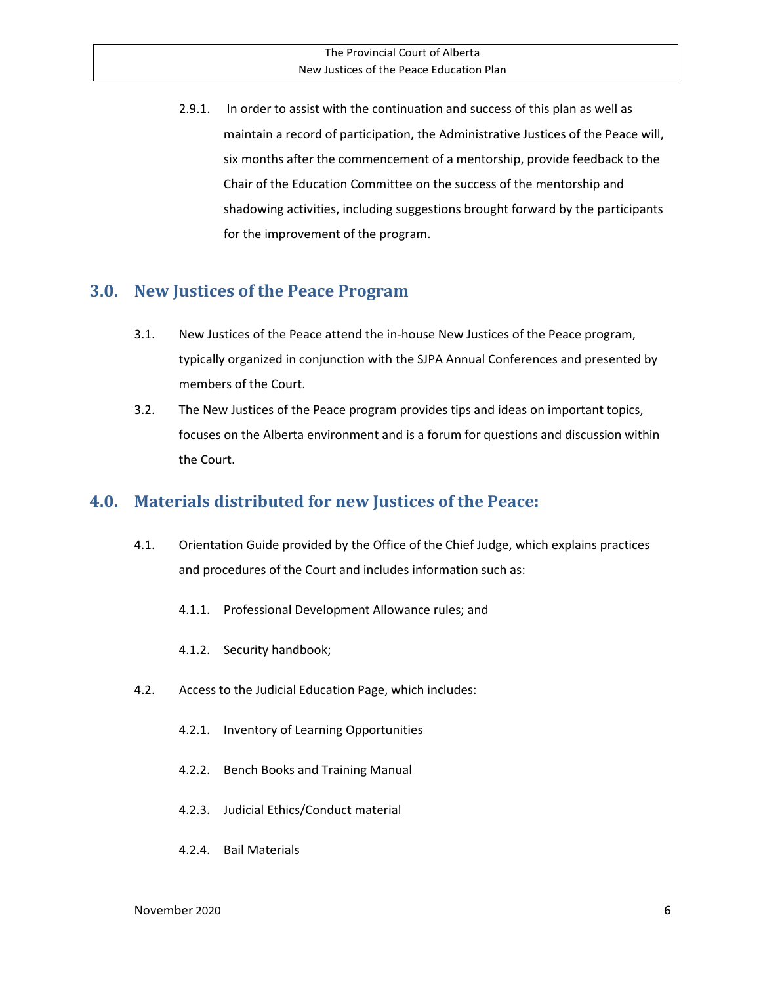2.9.1. In order to assist with the continuation and success of this plan as well as maintain a record of participation, the Administrative Justices of the Peace will, six months after the commencement of a mentorship, provide feedback to the Chair of the Education Committee on the success of the mentorship and shadowing activities, including suggestions brought forward by the participants for the improvement of the program.

#### **3.0. New Justices of the Peace Program**

- 3.1. New Justices of the Peace attend the in-house New Justices of the Peace program, typically organized in conjunction with the SJPA Annual Conferences and presented by members of the Court.
- 3.2. The New Justices of the Peace program provides tips and ideas on important topics, focuses on the Alberta environment and is a forum for questions and discussion within the Court.

## **4.0. Materials distributed for new Justices of the Peace:**

- 4.1. Orientation Guide provided by the Office of the Chief Judge, which explains practices and procedures of the Court and includes information such as:
	- 4.1.1. Professional Development Allowance rules; and
	- 4.1.2. Security handbook;
- 4.2. Access to the Judicial Education Page, which includes:
	- 4.2.1. Inventory of Learning Opportunities
	- 4.2.2. Bench Books and Training Manual
	- 4.2.3. Judicial Ethics/Conduct material
	- 4.2.4. Bail Materials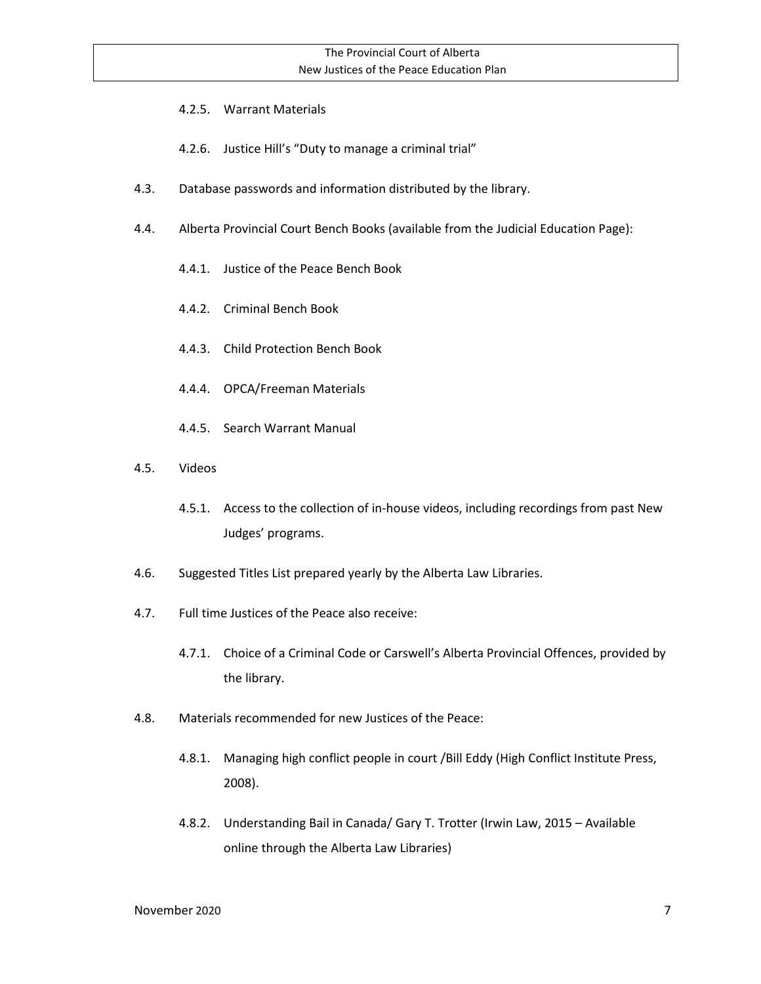- 4.2.5. Warrant Materials
- 4.2.6. Justice Hill's "Duty to manage a criminal trial"
- 4.3. Database passwords and information distributed by the library.
- 4.4. Alberta Provincial Court Bench Books (available from the Judicial Education Page):
	- 4.4.1. Justice of the Peace Bench Book
	- 4.4.2. Criminal Bench Book
	- 4.4.3. Child Protection Bench Book
	- 4.4.4. OPCA/Freeman Materials
	- 4.4.5. Search Warrant Manual
- 4.5. Videos
	- 4.5.1. Access to the collection of in-house videos, including recordings from past New Judges' programs.
- 4.6. Suggested Titles List prepared yearly by the Alberta Law Libraries.
- 4.7. Full time Justices of the Peace also receive:
	- 4.7.1. Choice of a Criminal Code or Carswell's Alberta Provincial Offences, provided by the library.
- 4.8. Materials recommended for new Justices of the Peace:
	- 4.8.1. Managing high conflict people in court /Bill Eddy (High Conflict Institute Press, 2008).
	- 4.8.2. Understanding Bail in Canada/ Gary T. Trotter (Irwin Law, 2015 Available online through the Alberta Law Libraries)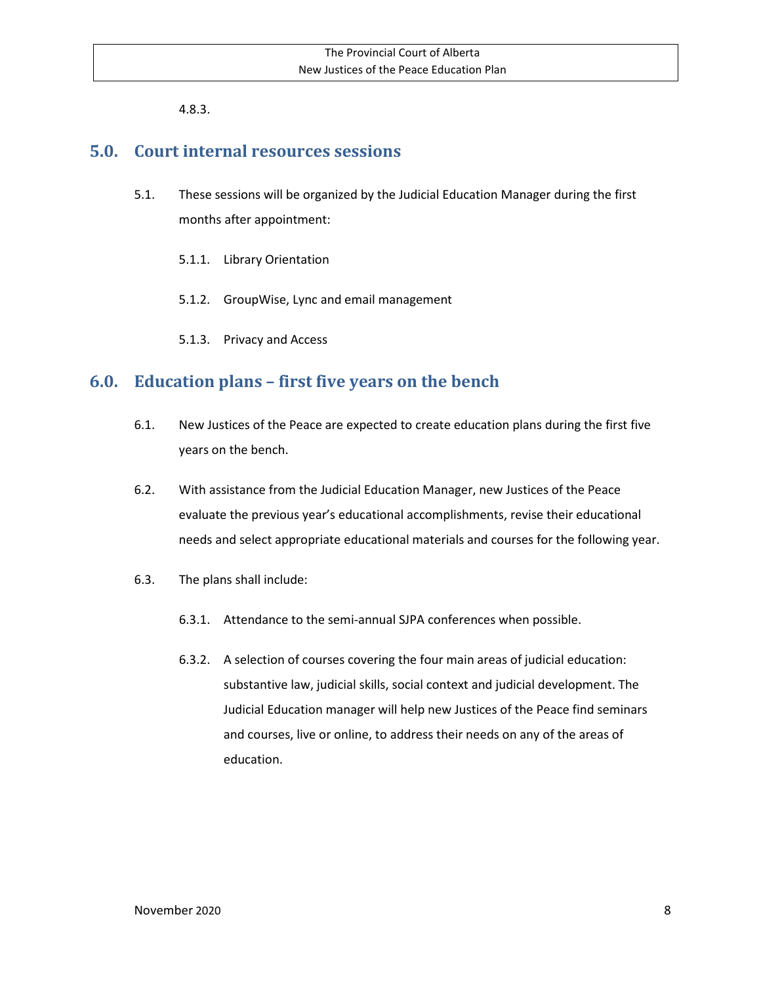4.8.3.

#### **5.0. Court internal resources sessions**

- 5.1. These sessions will be organized by the Judicial Education Manager during the first months after appointment:
	- 5.1.1. Library Orientation
	- 5.1.2. GroupWise, Lync and email management
	- 5.1.3. Privacy and Access

## **6.0. Education plans – first five years on the bench**

- 6.1. New Justices of the Peace are expected to create education plans during the first five years on the bench.
- 6.2. With assistance from the Judicial Education Manager, new Justices of the Peace evaluate the previous year's educational accomplishments, revise their educational needs and select appropriate educational materials and courses for the following year.
- 6.3. The plans shall include:
	- 6.3.1. Attendance to the semi-annual SJPA conferences when possible.
	- 6.3.2. A selection of courses covering the four main areas of judicial education: substantive law, judicial skills, social context and judicial development. The Judicial Education manager will help new Justices of the Peace find seminars and courses, live or online, to address their needs on any of the areas of education.